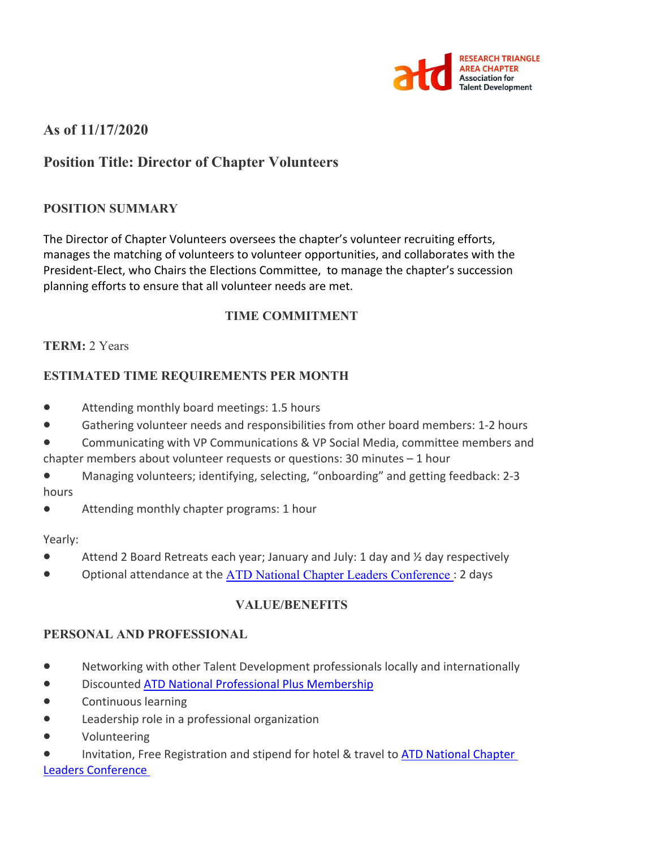

# **As of 11/17/2020**

# **Position Title: Director of Chapter Volunteers**

#### **POSITION SUMMARY**

The Director of Chapter Volunteers oversees the chapter's volunteer recruiting efforts, manages the matching of volunteers to volunteer opportunities, and collaborates with the President-Elect, who Chairs the Elections Committee, to manage the chapter's succession planning efforts to ensure that all volunteer needs are met.

### **TIME COMMITMENT**

#### **TERM:** 2 Years

#### **ESTIMATED TIME REQUIREMENTS PER MONTH**

- Attending monthly board meetings: 1.5 hours
- Gathering volunteer needs and responsibilities from other board members: 1-2 hours
- Communicating with VP Communications & VP Social Media, committee members and chapter members about volunteer requests or questions: 30 minutes – 1 hour
- Managing volunteers; identifying, selecting, "onboarding" and getting feedback: 2-3 hours
- Attending monthly chapter programs: 1 hour

#### Yearly:

- Attend 2 Board Retreats each year; January and July: 1 day and  $\frac{1}{2}$  day respectively
- Optional attendance at the ATD National Chapter Leaders Conference : 2 days

#### **VALUE/BENEFITS**

#### **PERSONAL AND PROFESSIONAL**

- Networking with other Talent Development professionals locally and internationally
- Discounted ATD National Professional Plus Membership
- Continuous learning
- Leadership role in a professional organization
- Volunteering
- Invitation, Free Registration and stipend for hotel & travel to ATD National Chapter Leaders Conference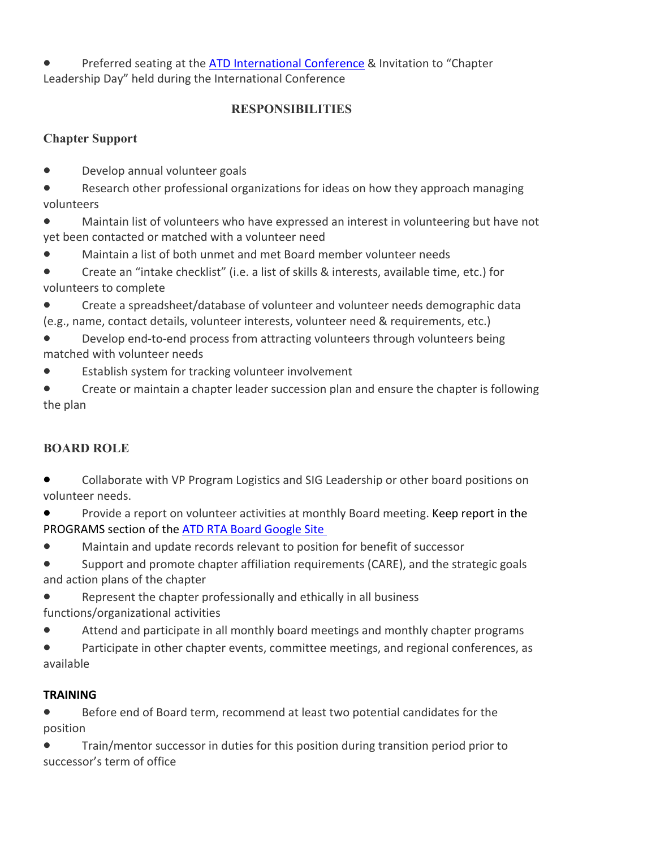Preferred seating at the ATD International Conference & Invitation to "Chapter Leadership Day" held during the International Conference

## **RESPONSIBILITIES**

## **Chapter Support**

- Develop annual volunteer goals
- Research other professional organizations for ideas on how they approach managing volunteers
- Maintain list of volunteers who have expressed an interest in volunteering but have not yet been contacted or matched with a volunteer need
- Maintain a list of both unmet and met Board member volunteer needs
- Create an "intake checklist" (i.e. a list of skills & interests, available time, etc.) for volunteers to complete
- Create a spreadsheet/database of volunteer and volunteer needs demographic data (e.g., name, contact details, volunteer interests, volunteer need & requirements, etc.)
- Develop end-to-end process from attracting volunteers through volunteers being matched with volunteer needs
- Establish system for tracking volunteer involvement
- Create or maintain a chapter leader succession plan and ensure the chapter is following the plan

# **BOARD ROLE**

- Collaborate with VP Program Logistics and SIG Leadership or other board positions on volunteer needs.
- Provide a report on volunteer activities at monthly Board meeting. Keep report in the PROGRAMS section of the ATD RTA Board Google Site
- Maintain and update records relevant to position for benefit of successor
- Support and promote chapter affiliation requirements (CARE), and the strategic goals and action plans of the chapter
- Represent the chapter professionally and ethically in all business functions/organizational activities
- Attend and participate in all monthly board meetings and monthly chapter programs
- Participate in other chapter events, committee meetings, and regional conferences, as available

# **TRAINING**

- Before end of Board term, recommend at least two potential candidates for the position
- Train/mentor successor in duties for this position during transition period prior to successor's term of office